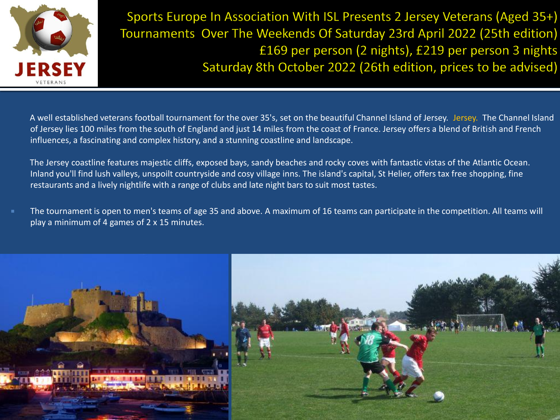

Sports Europe In Association With ISL Presents 2 Jersey Veterans (Aged 35+) Tournaments Over The Weekends Of Saturday 23rd April 2022 (25th edition) £169 per person (2 nights), £219 per person 3 nights Saturday 8th October 2022 (26th edition, prices to be advised)

 A well established veterans football tournament for the over 35's, set on the beautiful Channel Island of Jersey. Jersey. The Channel Island of Jersey lies 100 miles from the south of England and just 14 miles from the coast of France. Jersey offers a blend of British and French influences, a fascinating and complex history, and a stunning coastline and landscape.

 The Jersey coastline features majestic cliffs, exposed bays, sandy beaches and rocky coves with fantastic vistas of the Atlantic Ocean. Inland you'll find lush valleys, unspoilt countryside and cosy village inns. The island's capital, St Helier, offers tax free shopping, fine restaurants and a lively nightlife with a range of clubs and late night bars to suit most tastes.

 The tournament is open to men's teams of age 35 and above. A maximum of 16 teams can participate in the competition. All teams will play a minimum of 4 games of 2 x 15 minutes.

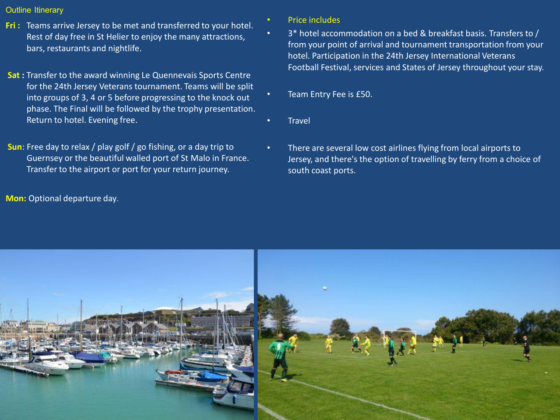## **Outline Itinerary**

- **Fri :** Teams arrive Jersey to be met and transferred to your hotel. Rest of day free in St Helier to enjoy the many attractions, bars, restaurants and nightlife.
- **Sat :** Transfer to the award winning Le Quennevais Sports Centre for the 24th Jersey Veterans tournament. Teams will be split into groups of 3, 4 or 5 before progressing to the knock out phase. The Final will be followed by the trophy presentation. Return to hotel. Evening free.
- **Sun**: Free day to relax / play golf / go fishing, or a day trip to Guernsey or the beautiful walled port of St Malo in France. Transfer to the airport or port for your return journey.

**Mon:** Optional departure day.

- Price includes
	- 3\* hotel accommodation on a bed & breakfast basis. Transfers to / from your point of arrival and tournament transportation from your hotel. Participation in the 24th Jersey International Veterans Football Festival, services and States of Jersey throughout your stay.
- Team Entry Fee is £50.
- **Travel**
- There are several low cost airlines flying from local airports to Jersey, and there's the option of travelling by ferry from a choice of south coast ports.